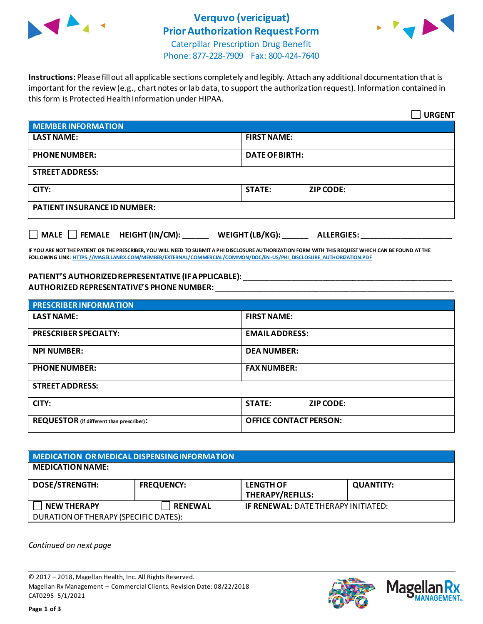

## **Verquvo (vericiguat) Prior Authorization Request Form**



Caterpillar Prescription Drug Benefit Phone: 877-228-7909 Fax: 800-424-7640

**Instructions:** Please fill out all applicable sections completely and legibly. Attach any additional documentation that is important for the review (e.g., chart notes or lab data, to support the authorization request). Information contained in this form is Protected Health Information under HIPAA.

|                                                                                   | <b>URGENT</b>                     |  |
|-----------------------------------------------------------------------------------|-----------------------------------|--|
| <b>MEMBER INFORMATION</b>                                                         |                                   |  |
| <b>LAST NAME:</b>                                                                 | <b>FIRST NAME:</b>                |  |
| <b>PHONE NUMBER:</b>                                                              | <b>DATE OF BIRTH:</b>             |  |
| <b>STREET ADDRESS:</b>                                                            |                                   |  |
| CITY:                                                                             | <b>STATE:</b><br><b>ZIP CODE:</b> |  |
| <b>PATIENT INSURANCE ID NUMBER:</b>                                               |                                   |  |
| $\Box$ MALE $\Box$ FEMALE HEIGHT (IN/CM):<br>WEIGHT (LB/KG):<br><b>ALLERGIES:</b> |                                   |  |

**IF YOU ARE NOT THE PATIENT OR THE PRESCRIBER, YOU WILL NEED TO SUBMIT A PHI DISCLOSURE AUTHORIZATION FORM WITH THIS REQUEST WHICH CAN BE FOUND AT THE FOLLOWING LINK[: HTTPS://MAGELLANRX.COM/MEMBER/EXTERNAL/COMMERCIAL/COMMON/DOC/EN-US/PHI\\_DISCLOSURE\\_AUTHORIZATION.PDF](https://magellanrx.com/member/external/commercial/common/doc/en-us/PHI_Disclosure_Authorization.pdf)**

#### **PATIENT'S AUTHORIZED REPRESENTATIVE (IF APPLICABLE):** \_\_\_\_\_\_\_\_\_\_\_\_\_\_\_\_\_\_\_\_\_\_\_\_\_\_\_\_\_\_\_\_\_\_\_\_\_\_\_\_\_\_\_\_\_\_\_\_ **AUTHORIZED REPRESENTATIVE'S PHONE NUMBER:** \_\_\_\_\_\_\_\_\_\_\_\_\_\_\_\_\_\_\_\_\_\_\_\_\_\_\_\_\_\_\_\_\_\_\_\_\_\_\_\_\_\_\_\_\_\_\_\_\_\_\_\_\_\_\_

| <b>PRESCRIBER INFORMATION</b>             |                               |  |  |
|-------------------------------------------|-------------------------------|--|--|
| <b>LAST NAME:</b>                         | <b>FIRST NAME:</b>            |  |  |
| <b>PRESCRIBER SPECIALTY:</b>              | <b>EMAIL ADDRESS:</b>         |  |  |
| <b>NPI NUMBER:</b>                        | <b>DEA NUMBER:</b>            |  |  |
| <b>PHONE NUMBER:</b>                      | <b>FAX NUMBER:</b>            |  |  |
| <b>STREET ADDRESS:</b>                    |                               |  |  |
| CITY:                                     | <b>STATE:</b><br>ZIP CODE:    |  |  |
| REQUESTOR (if different than prescriber): | <b>OFFICE CONTACT PERSON:</b> |  |  |

### **MEDICATION OR MEDICAL DISPENSING INFORMATION MEDICATION NAME: DOSE/STRENGTH: FREQUENCY: LENGTH OF THERAPY/REFILLS: QUANTITY: NEW THERAPY RENEWAL IF RENEWAL:** DATE THERAPY INITIATED: DURATION OF THERAPY (SPECIFIC DATES):

*Continued on next page*

© 2017 – 2018, Magellan Health, Inc. All Rights Reserved. Magellan Rx Management – Commercial Clients. Revision Date: 08/22/2018 CAT0295 5/1/2021



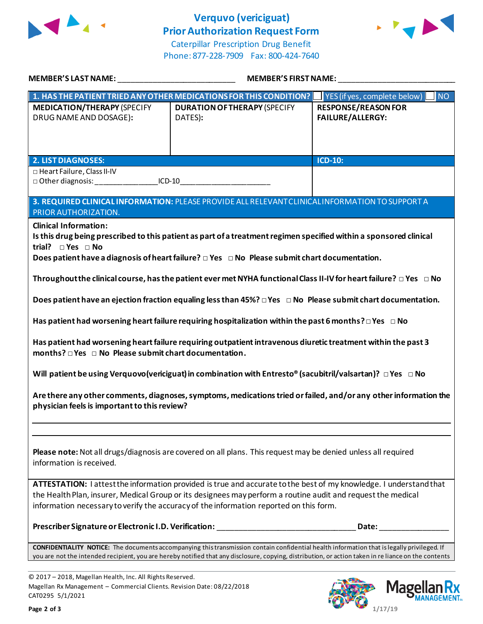

# **Verquvo (vericiguat) Prior Authorization Request Form**



Caterpillar Prescription Drug Benefit Phone: 877-228-7909 Fax: 800-424-7640

| MEMBER'S LAST NAME: ________________________________                                                                                                                                                                                                                                                                                                                                                                                                                                                                                                                                                                                                                                                                                                                                                                                                                                                                                                                                                                                                                                                                                                                  |                                                                                                                                                                                                                                                                                                     | MEMBER'S FIRST NAME: __________                       |  |
|-----------------------------------------------------------------------------------------------------------------------------------------------------------------------------------------------------------------------------------------------------------------------------------------------------------------------------------------------------------------------------------------------------------------------------------------------------------------------------------------------------------------------------------------------------------------------------------------------------------------------------------------------------------------------------------------------------------------------------------------------------------------------------------------------------------------------------------------------------------------------------------------------------------------------------------------------------------------------------------------------------------------------------------------------------------------------------------------------------------------------------------------------------------------------|-----------------------------------------------------------------------------------------------------------------------------------------------------------------------------------------------------------------------------------------------------------------------------------------------------|-------------------------------------------------------|--|
|                                                                                                                                                                                                                                                                                                                                                                                                                                                                                                                                                                                                                                                                                                                                                                                                                                                                                                                                                                                                                                                                                                                                                                       | 1. HAS THE PATIENT TRIED ANY OTHER MEDICATIONS FOR THIS CONDITION?                                                                                                                                                                                                                                  | YES (if yes, complete below)<br>NO <sub>1</sub>       |  |
| <b>MEDICATION/THERAPY (SPECIFY</b><br>DRUG NAME AND DOSAGE):                                                                                                                                                                                                                                                                                                                                                                                                                                                                                                                                                                                                                                                                                                                                                                                                                                                                                                                                                                                                                                                                                                          | <b>DURATION OF THERAPY (SPECIFY</b><br>DATES):                                                                                                                                                                                                                                                      | <b>RESPONSE/REASON FOR</b><br><b>FAILURE/ALLERGY:</b> |  |
| <b>2. LIST DIAGNOSES:</b>                                                                                                                                                                                                                                                                                                                                                                                                                                                                                                                                                                                                                                                                                                                                                                                                                                                                                                                                                                                                                                                                                                                                             |                                                                                                                                                                                                                                                                                                     | $ICD-10$ :                                            |  |
| □ Heart Failure, Class II-IV<br>□ Other diagnosis: ______________________ICD-10________________________________                                                                                                                                                                                                                                                                                                                                                                                                                                                                                                                                                                                                                                                                                                                                                                                                                                                                                                                                                                                                                                                       |                                                                                                                                                                                                                                                                                                     |                                                       |  |
| 3. REQUIRED CLINICAL INFORMATION: PLEASE PROVIDE ALL RELEVANT CLINICAL INFORMATION TO SUPPORT A<br>PRIOR AUTHORIZATION.                                                                                                                                                                                                                                                                                                                                                                                                                                                                                                                                                                                                                                                                                                                                                                                                                                                                                                                                                                                                                                               |                                                                                                                                                                                                                                                                                                     |                                                       |  |
| <b>Clinical Information:</b><br>Is this drug being prescribed to this patient as part of a treatment regimen specified within a sponsored clinical<br>trial? $\square$ Yes $\square$ No<br>Does patient have a diagnosis of heart failure? $\Box$ Yes $\Box$ No Please submit chart documentation.<br>Throughout the clinical course, has the patient ever met NYHA functional Class II-IV for heart failure? $\Box$ Yes $\Box$ No<br>Does patient have an ejection fraction equaling less than $45\%$ ? $\Box$ Yes $\Box$ No Please submit chart documentation.<br>Has patient had worsening heart failure requiring hospitalization within the past 6 months? $\Box$ Yes $\Box$ No<br>Has patient had worsening heart failure requiring outpatient intravenous diuretic treatment within the past 3<br>months? $\Box$ Yes $\Box$ No Please submit chart documentation.<br>Will patient be using Verquovo(vericiguat) in combination with Entresto® (sacubitril/valsartan)? $\Box$ Yes $\Box$ No<br>Are there any other comments, diagnoses, symptoms, medications tried or failed, and/or any other information the<br>physician feels is important to this review? |                                                                                                                                                                                                                                                                                                     |                                                       |  |
| Please note: Not all drugs/diagnosis are covered on all plans. This request may be denied unless all required<br>information is received.                                                                                                                                                                                                                                                                                                                                                                                                                                                                                                                                                                                                                                                                                                                                                                                                                                                                                                                                                                                                                             |                                                                                                                                                                                                                                                                                                     |                                                       |  |
| ATTESTATION: I attest the information provided is true and accurate to the best of my knowledge. I understand that<br>the Health Plan, insurer, Medical Group or its designees may perform a routine audit and request the medical<br>information necessary to verify the accuracy of the information reported on this form.                                                                                                                                                                                                                                                                                                                                                                                                                                                                                                                                                                                                                                                                                                                                                                                                                                          |                                                                                                                                                                                                                                                                                                     |                                                       |  |
|                                                                                                                                                                                                                                                                                                                                                                                                                                                                                                                                                                                                                                                                                                                                                                                                                                                                                                                                                                                                                                                                                                                                                                       |                                                                                                                                                                                                                                                                                                     |                                                       |  |
|                                                                                                                                                                                                                                                                                                                                                                                                                                                                                                                                                                                                                                                                                                                                                                                                                                                                                                                                                                                                                                                                                                                                                                       | CONFIDENTIALITY NOTICE: The documents accompanying this transmission contain confidential health information that is legally privileged. If<br>you are not the intended recipient, you are hereby notified that any disclosure, copying, distribution, or action taken in re liance on the contents |                                                       |  |

© 2017 – 2018, Magellan Health, Inc. All Rights Reserved. Magellan Rx Management – Commercial Clients. Revision Date: 08/22/2018 CAT0295 5/1/2021